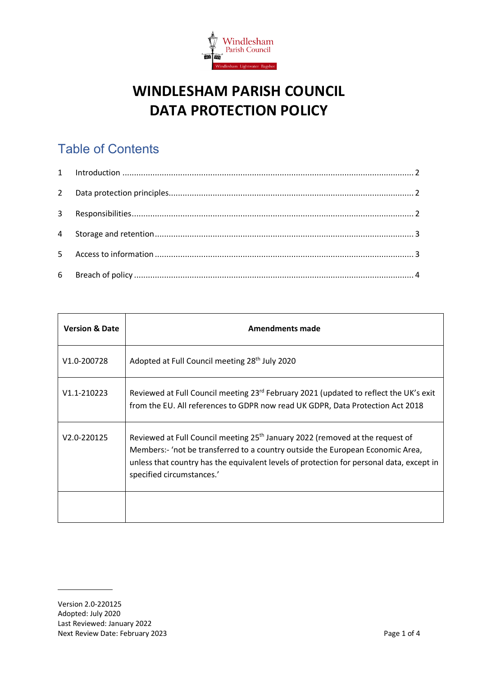

# **WINDLESHAM PARISH COUNCIL DATA PROTECTION POLICY**

# Table of Contents

| <b>Version &amp; Date</b> | <b>Amendments made</b>                                                                                                                                                                                                                                                                               |
|---------------------------|------------------------------------------------------------------------------------------------------------------------------------------------------------------------------------------------------------------------------------------------------------------------------------------------------|
| V1.0-200728               | Adopted at Full Council meeting 28 <sup>th</sup> July 2020                                                                                                                                                                                                                                           |
| V1.1-210223               | Reviewed at Full Council meeting 23 <sup>rd</sup> February 2021 (updated to reflect the UK's exit<br>from the EU. All references to GDPR now read UK GDPR, Data Protection Act 2018                                                                                                                  |
| V2.0-220125               | Reviewed at Full Council meeting 25 <sup>th</sup> January 2022 (removed at the request of<br>Members:- 'not be transferred to a country outside the European Economic Area,<br>unless that country has the equivalent levels of protection for personal data, except in<br>specified circumstances.' |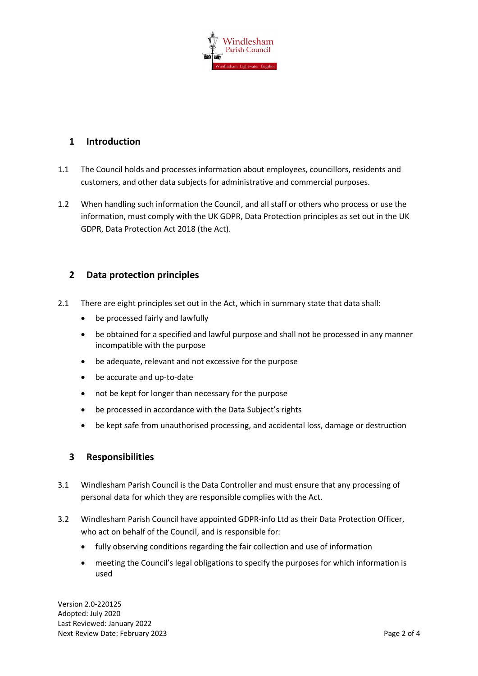

### <span id="page-1-0"></span>**1 Introduction**

- 1.1 The Council holds and processes information about employees, councillors, residents and customers, and other data subjects for administrative and commercial purposes.
- 1.2 When handling such information the Council, and all staff or others who process or use the information, must comply with the UK GDPR, Data Protection principles as set out in the UK GDPR, Data Protection Act 2018 (the Act).

## <span id="page-1-1"></span>**2 Data protection principles**

- 2.1 There are eight principles set out in the Act, which in summary state that data shall:
	- be processed fairly and lawfully
	- be obtained for a specified and lawful purpose and shall not be processed in any manner incompatible with the purpose
	- be adequate, relevant and not excessive for the purpose
	- be accurate and up-to-date
	- not be kept for longer than necessary for the purpose
	- be processed in accordance with the Data Subject's rights
	- be kept safe from unauthorised processing, and accidental loss, damage or destruction

#### <span id="page-1-2"></span>**3 Responsibilities**

- 3.1 Windlesham Parish Council is the Data Controller and must ensure that any processing of personal data for which they are responsible complies with the Act.
- 3.2 Windlesham Parish Council have appointed GDPR-info Ltd as their Data Protection Officer, who act on behalf of the Council, and is responsible for:
	- fully observing conditions regarding the fair collection and use of information
	- meeting the Council's legal obligations to specify the purposes for which information is used

Version 2.0-220125 Adopted: July 2020 Last Reviewed: January 2022 Next Review Date: February 2023 **Page 2 of 4**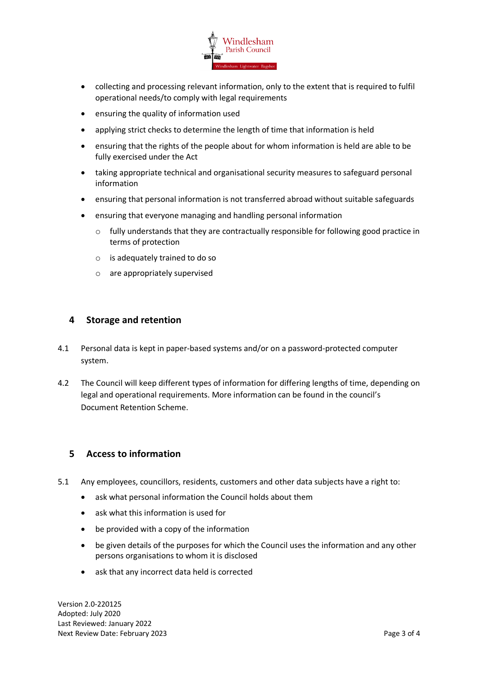

- collecting and processing relevant information, only to the extent that is required to fulfil operational needs/to comply with legal requirements
- ensuring the quality of information used
- applying strict checks to determine the length of time that information is held
- ensuring that the rights of the people about for whom information is held are able to be fully exercised under the Act
- taking appropriate technical and organisational security measures to safeguard personal information
- ensuring that personal information is not transferred abroad without suitable safeguards
- ensuring that everyone managing and handling personal information
	- $\circ$  fully understands that they are contractually responsible for following good practice in terms of protection
	- o is adequately trained to do so
	- o are appropriately supervised

#### <span id="page-2-0"></span>**4 Storage and retention**

- 4.1 Personal data is kept in paper-based systems and/or on a password-protected computer system.
- 4.2 The Council will keep different types of information for differing lengths of time, depending on legal and operational requirements. More information can be found in the council's Document Retention Scheme.

#### <span id="page-2-1"></span>**5 Access to information**

- 5.1 Any employees, councillors, residents, customers and other data subjects have a right to:
	- ask what personal information the Council holds about them
	- ask what this information is used for
	- be provided with a copy of the information
	- be given details of the purposes for which the Council uses the information and any other persons organisations to whom it is disclosed
	- ask that any incorrect data held is corrected

Version 2.0-220125 Adopted: July 2020 Last Reviewed: January 2022 Next Review Date: February 2023 **Page 3 of 4**